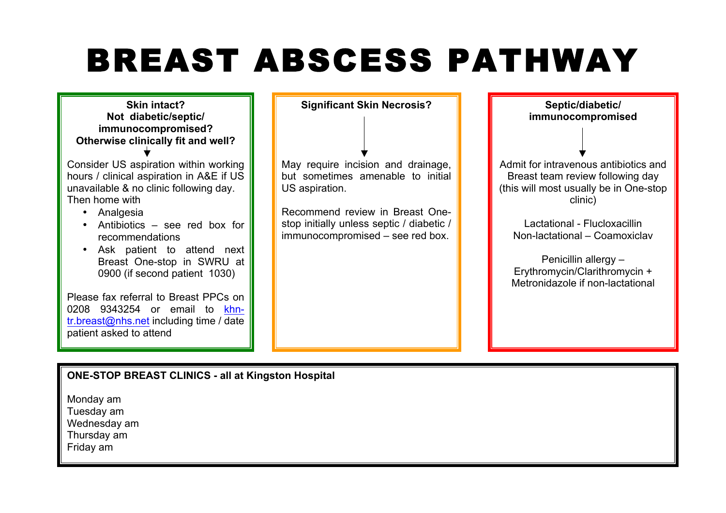# BREAST ABSCESS PATHWAY



**ONE-STOP BREAST CLINICS - all at Kingston Hospital**

Monday am Tuesday am Wednesday am Thursday am Friday am